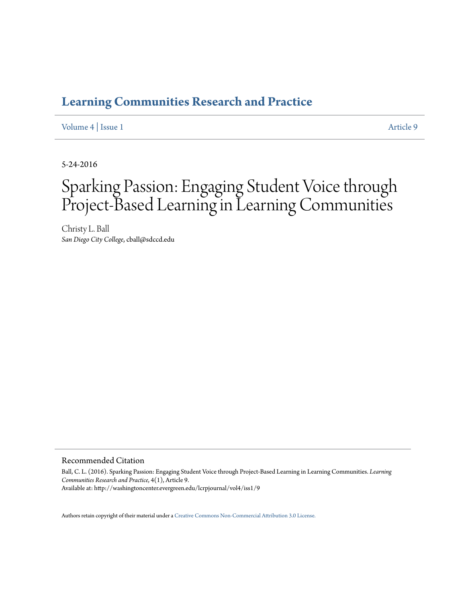### **[Learning Communities Research and Practice](http://washingtoncenter.evergreen.edu/lcrpjournal)**

#### [Volume 4](http://washingtoncenter.evergreen.edu/lcrpjournal/vol4) | [Issue 1](http://washingtoncenter.evergreen.edu/lcrpjournal/vol4/iss1) [Article 9](http://washingtoncenter.evergreen.edu/lcrpjournal/vol4/iss1/9)

5-24-2016

# Sparking Passion: Engaging Student Voice through Project-Based Learning in Learning Communities

Christy L. Ball *San Diego City College*, cball@sdccd.edu

#### Recommended Citation

Ball, C. L. (2016). Sparking Passion: Engaging Student Voice through Project-Based Learning in Learning Communities. *Learning Communities Research and Practice*, 4(1), Article 9. Available at: http://washingtoncenter.evergreen.edu/lcrpjournal/vol4/iss1/9

Authors retain copyright of their material under a [Creative Commons Non-Commercial Attribution 3.0 License.](http://creativecommons.org/licenses/by-nc/3.0/)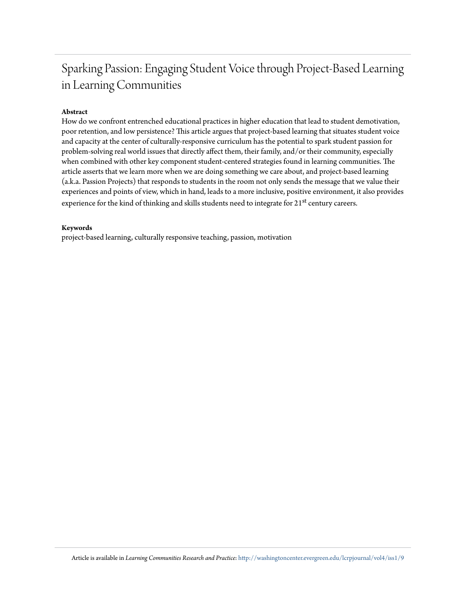## Sparking Passion: Engaging Student Voice through Project-Based Learning in Learning Communities

#### **Abstract**

How do we confront entrenched educational practices in higher education that lead to student demotivation, poor retention, and low persistence? This article argues that project-based learning that situates student voice and capacity at the center of culturally-responsive curriculum has the potential to spark student passion for problem-solving real world issues that directly affect them, their family, and/or their community, especially when combined with other key component student-centered strategies found in learning communities. The article asserts that we learn more when we are doing something we care about, and project-based learning (a.k.a. Passion Projects) that responds to students in the room not only sends the message that we value their experiences and points of view, which in hand, leads to a more inclusive, positive environment, it also provides experience for the kind of thinking and skills students need to integrate for 21<sup>st</sup> century careers.

#### **Keywords**

project-based learning, culturally responsive teaching, passion, motivation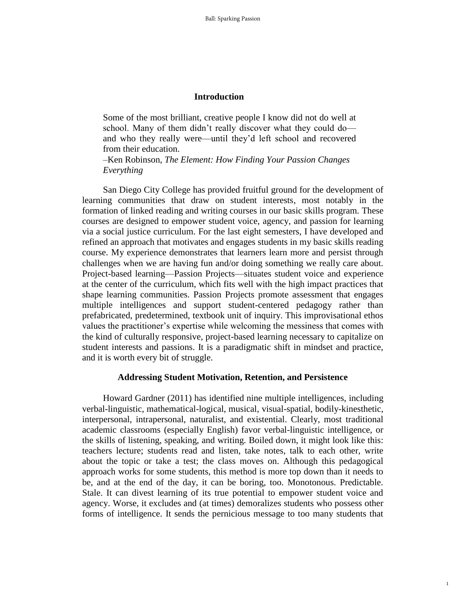#### **Introduction**

Some of the most brilliant, creative people I know did not do well at school. Many of them didn't really discover what they could do and who they really were—until they'd left school and recovered from their education.

*–*Ken Robinson, *The Element: How Finding Your Passion Changes Everything*

San Diego City College has provided fruitful ground for the development of learning communities that draw on student interests, most notably in the formation of linked reading and writing courses in our basic skills program. These courses are designed to empower student voice, agency, and passion for learning via a social justice curriculum. For the last eight semesters, I have developed and refined an approach that motivates and engages students in my basic skills reading course. My experience demonstrates that learners learn more and persist through challenges when we are having fun and/or doing something we really care about. Project-based learning—Passion Projects—situates student voice and experience at the center of the curriculum, which fits well with the high impact practices that shape learning communities. Passion Projects promote assessment that engages multiple intelligences and support student-centered pedagogy rather than prefabricated, predetermined, textbook unit of inquiry. This improvisational ethos values the practitioner's expertise while welcoming the messiness that comes with the kind of culturally responsive, project-based learning necessary to capitalize on student interests and passions. It is a paradigmatic shift in mindset and practice, and it is worth every bit of struggle.

#### **Addressing Student Motivation, Retention, and Persistence**

Howard Gardner (2011) has identified nine multiple intelligences, including verbal-linguistic, mathematical-logical, musical, visual-spatial, bodily-kinesthetic, interpersonal, intrapersonal, naturalist, and existential. Clearly, most traditional academic classrooms (especially English) favor verbal-linguistic intelligence, or the skills of listening, speaking, and writing. Boiled down, it might look like this: teachers lecture; students read and listen, take notes, talk to each other, write about the topic or take a test; the class moves on. Although this pedagogical approach works for some students, this method is more top down than it needs to be, and at the end of the day, it can be boring, too. Monotonous. Predictable. Stale. It can divest learning of its true potential to empower student voice and agency. Worse, it excludes and (at times) demoralizes students who possess other forms of intelligence. It sends the pernicious message to too many students that

1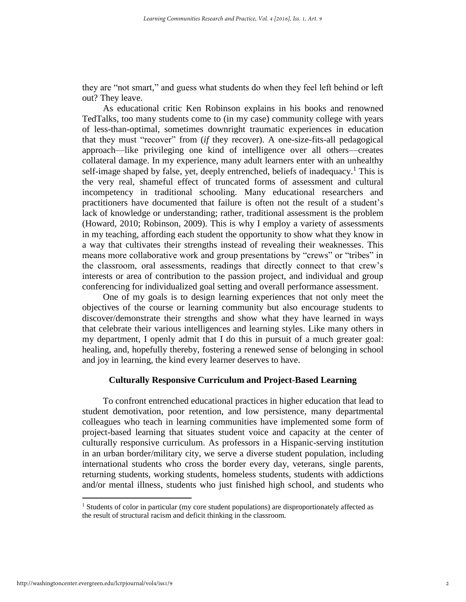they are "not smart," and guess what students do when they feel left behind or left out? They leave.

As educational critic Ken Robinson explains in his books and renowned TedTalks, too many students come to (in my case) community college with years of less-than-optimal, sometimes downright traumatic experiences in education that they must "recover" from (*if* they recover). A one-size-fits-all pedagogical approach—like privileging one kind of intelligence over all others—creates collateral damage. In my experience, many adult learners enter with an unhealthy self-image shaped by false, yet, deeply entrenched, beliefs of inadequacy.<sup>1</sup> This is the very real, shameful effect of truncated forms of assessment and cultural incompetency in traditional schooling. Many educational researchers and practitioners have documented that failure is often not the result of a student's lack of knowledge or understanding; rather, traditional assessment is the problem (Howard, 2010; Robinson, 2009). This is why I employ a variety of assessments in my teaching, affording each student the opportunity to show what they know in a way that cultivates their strengths instead of revealing their weaknesses. This means more collaborative work and group presentations by "crews" or "tribes" in the classroom, oral assessments, readings that directly connect to that crew's interests or area of contribution to the passion project, and individual and group conferencing for individualized goal setting and overall performance assessment.

One of my goals is to design learning experiences that not only meet the objectives of the course or learning community but also encourage students to discover/demonstrate their strengths and show what they have learned in ways that celebrate their various intelligences and learning styles. Like many others in my department, I openly admit that I do this in pursuit of a much greater goal: healing, and, hopefully thereby, fostering a renewed sense of belonging in school and joy in learning, the kind every learner deserves to have.

#### **Culturally Responsive Curriculum and Project-Based Learning**

To confront entrenched educational practices in higher education that lead to student demotivation, poor retention, and low persistence, many departmental colleagues who teach in learning communities have implemented some form of project-based learning that situates student voice and capacity at the center of culturally responsive curriculum. As professors in a Hispanic-serving institution in an urban border/military city, we serve a diverse student population, including international students who cross the border every day, veterans, single parents, returning students, working students, homeless students, students with addictions and/or mental illness, students who just finished high school, and students who

 $\overline{a}$ 

<sup>&</sup>lt;sup>1</sup> Students of color in particular (my core student populations) are disproportionately affected as the result of structural racism and deficit thinking in the classroom.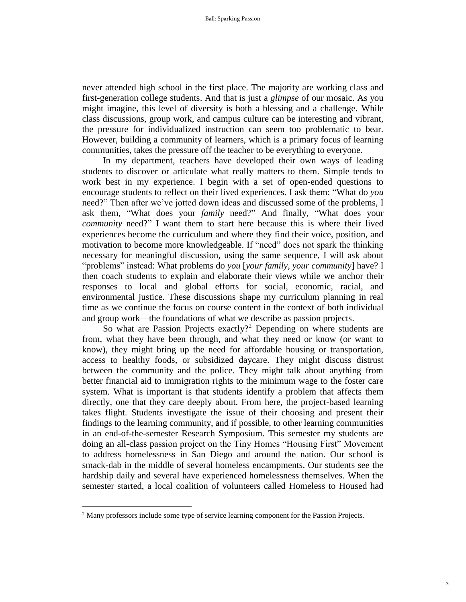never attended high school in the first place. The majority are working class and first-generation college students. And that is just a *glimpse* of our mosaic. As you might imagine, this level of diversity is both a blessing and a challenge. While class discussions, group work, and campus culture can be interesting and vibrant, the pressure for individualized instruction can seem too problematic to bear. However, building a community of learners, which is a primary focus of learning communities, takes the pressure off the teacher to be everything to everyone.

In my department, teachers have developed their own ways of leading students to discover or articulate what really matters to them. Simple tends to work best in my experience. I begin with a set of open-ended questions to encourage students to reflect on their lived experiences. I ask them: "What do *you* need?" Then after we've jotted down ideas and discussed some of the problems, I ask them, "What does your *family* need?" And finally, "What does your *community* need?" I want them to start here because this is where their lived experiences become the curriculum and where they find their voice, position, and motivation to become more knowledgeable. If "need" does not spark the thinking necessary for meaningful discussion, using the same sequence, I will ask about "problems" instead: What problems do *you* [*your family, your community*] have? I then coach students to explain and elaborate their views while we anchor their responses to local and global efforts for social, economic, racial, and environmental justice. These discussions shape my curriculum planning in real time as we continue the focus on course content in the context of both individual and group work—the foundations of what we describe as passion projects.

So what are Passion Projects exactly? <sup>2</sup> Depending on where students are from, what they have been through, and what they need or know (or want to know), they might bring up the need for affordable housing or transportation, access to healthy foods, or subsidized daycare. They might discuss distrust between the community and the police. They might talk about anything from better financial aid to immigration rights to the minimum wage to the foster care system. What is important is that students identify a problem that affects them directly, one that they care deeply about. From here, the project-based learning takes flight. Students investigate the issue of their choosing and present their findings to the learning community, and if possible, to other learning communities in an end-of-the-semester Research Symposium. This semester my students are doing an all-class passion project on the Tiny Homes "Housing First" Movement to address homelessness in San Diego and around the nation. Our school is smack-dab in the middle of several homeless encampments. Our students see the hardship daily and several have experienced homelessness themselves. When the semester started, a local coalition of volunteers called Homeless to Housed had

 $\overline{a}$ 

<sup>2</sup> Many professors include some type of service learning component for the Passion Projects.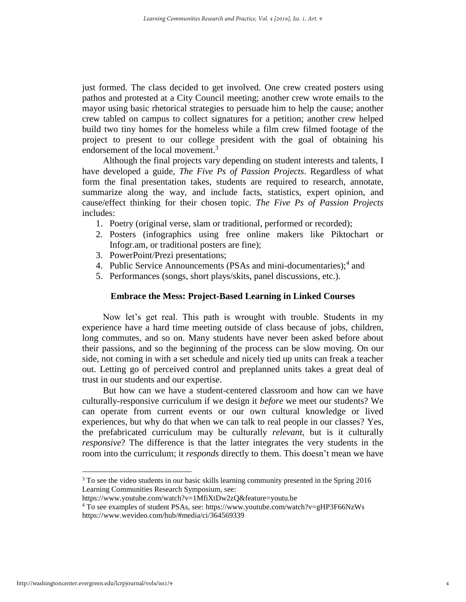just formed. The class decided to get involved. One crew created posters using pathos and protested at a City Council meeting; another crew wrote emails to the mayor using basic rhetorical strategies to persuade him to help the cause; another crew tabled on campus to collect signatures for a petition; another crew helped build two tiny homes for the homeless while a film crew filmed footage of the project to present to our college president with the goal of obtaining his endorsement of the local movement.<sup>3</sup>

Although the final projects vary depending on student interests and talents, I have developed a guide, *The Five Ps of Passion Projects*. Regardless of what form the final presentation takes, students are required to research, annotate, summarize along the way, and include facts, statistics, expert opinion, and cause/effect thinking for their chosen topic. *The Five Ps of Passion Projects* includes:

- 1. Poetry (original verse, slam or traditional, performed or recorded);
- 2. Posters (infographics using free online makers like Piktochart or Infogr.am, or traditional posters are fine);
- 3. PowerPoint/Prezi presentations;
- 4. Public Service Announcements (PSAs and mini-documentaries);<sup>4</sup> and
- 5. Performances (songs, short plays/skits, panel discussions, etc.).

#### **Embrace the Mess: Project-Based Learning in Linked Courses**

Now let's get real. This path is wrought with trouble. Students in my experience have a hard time meeting outside of class because of jobs, children, long commutes, and so on. Many students have never been asked before about their passions, and so the beginning of the process can be slow moving. On our side, not coming in with a set schedule and nicely tied up units can freak a teacher out. Letting go of perceived control and preplanned units takes a great deal of trust in our students and our expertise.

But how can we have a student-centered classroom and how can we have culturally-responsive curriculum if we design it *before* we meet our students? We can operate from current events or our own cultural knowledge or lived experiences, but why do that when we can talk to real people in our classes? Yes, the prefabricated curriculum may be culturally *relevant*, but is it culturally *responsive*? The difference is that the latter integrates the very students in the room into the curriculum; it *responds* directly to them. This doesn't mean we have

 $\overline{a}$ 

 $3$  To see the video students in our basic skills learning community presented in the Spring 2016 Learning Communities Research Symposium, see:

https://www.youtube.com/watch?v=1MfiXtDw2zQ&feature=youtu.be

<sup>4</sup> To see examples of student PSAs, see: https://www.youtube.com/watch?v=gHP3F66NzWs https://www.wevideo.com/hub/#media/ci/364569339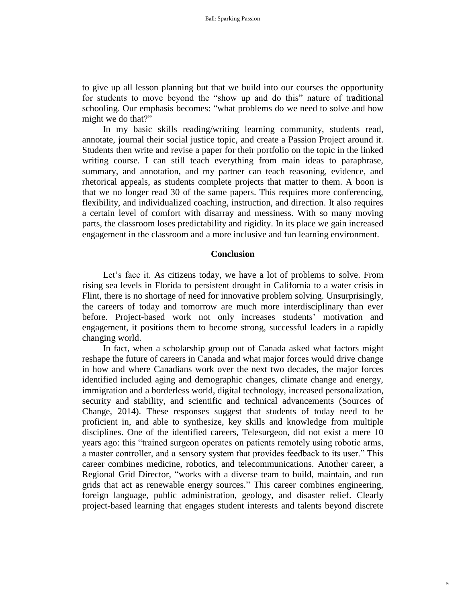to give up all lesson planning but that we build into our courses the opportunity for students to move beyond the "show up and do this" nature of traditional schooling. Our emphasis becomes: "what problems do we need to solve and how might we do that?"

In my basic skills reading/writing learning community, students read, annotate, journal their social justice topic, and create a Passion Project around it. Students then write and revise a paper for their portfolio on the topic in the linked writing course. I can still teach everything from main ideas to paraphrase, summary, and annotation, and my partner can teach reasoning, evidence, and rhetorical appeals, as students complete projects that matter to them. A boon is that we no longer read 30 of the same papers. This requires more conferencing, flexibility, and individualized coaching, instruction, and direction. It also requires a certain level of comfort with disarray and messiness. With so many moving parts, the classroom loses predictability and rigidity. In its place we gain increased engagement in the classroom and a more inclusive and fun learning environment.

#### **Conclusion**

Let's face it. As citizens today, we have a lot of problems to solve. From rising sea levels in Florida to persistent drought in California to a water crisis in Flint, there is no shortage of need for innovative problem solving. Unsurprisingly, the careers of today and tomorrow are much more interdisciplinary than ever before. Project-based work not only increases students' motivation and engagement, it positions them to become strong, successful leaders in a rapidly changing world.

In fact, when a scholarship group out of Canada asked what factors might reshape the future of careers in Canada and what major forces would drive change in how and where Canadians work over the next two decades, the major forces identified included aging and demographic changes, climate change and energy, immigration and a borderless world, digital technology, increased personalization, security and stability, and scientific and technical advancements (Sources of Change, 2014). These responses suggest that students of today need to be proficient in, and able to synthesize, key skills and knowledge from multiple disciplines. One of the identified careers, Telesurgeon, did not exist a mere 10 years ago: this "trained surgeon operates on patients remotely using robotic arms, a master controller, and a sensory system that provides feedback to its user." This career combines medicine, robotics, and telecommunications. Another career, a Regional Grid Director, "works with a diverse team to build, maintain, and run grids that act as renewable energy sources." This career combines engineering, foreign language, public administration, geology, and disaster relief. Clearly project-based learning that engages student interests and talents beyond discrete